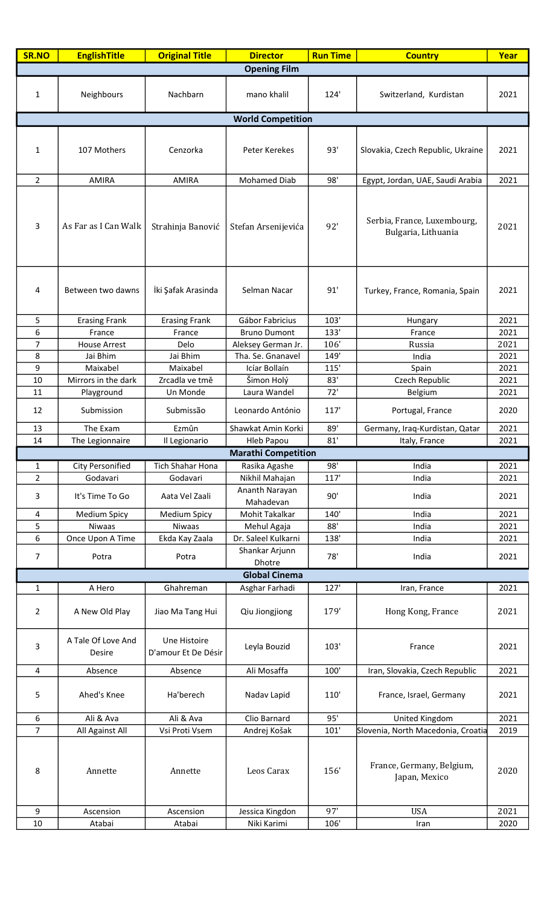| <b>SR.NO</b>        | <b>EnglishTitle</b>          | <b>Original Title</b>               | <b>Director</b>                             | <b>Run Time</b> | <b>Country</b>                                     | Year         |  |  |
|---------------------|------------------------------|-------------------------------------|---------------------------------------------|-----------------|----------------------------------------------------|--------------|--|--|
| <b>Opening Film</b> |                              |                                     |                                             |                 |                                                    |              |  |  |
| 1                   | Neighbours                   | Nachbarn                            | mano khalil                                 | 124'            | Switzerland, Kurdistan                             | 2021         |  |  |
|                     | <b>World Competition</b>     |                                     |                                             |                 |                                                    |              |  |  |
|                     |                              |                                     |                                             |                 |                                                    |              |  |  |
| 1                   | 107 Mothers                  | Cenzorka                            | Peter Kerekes                               | 93'             | Slovakia, Czech Republic, Ukraine                  | 2021         |  |  |
| $\overline{2}$      | <b>AMIRA</b>                 | <b>AMIRA</b>                        | <b>Mohamed Diab</b>                         | 98'             | Egypt, Jordan, UAE, Saudi Arabia                   | 2021         |  |  |
| 3                   | As Far as I Can Walk         | Strahinja Banović                   | Stefan Arsenijevića                         | 92'             | Serbia, France, Luxembourg,<br>Bulgaria, Lithuania | 2021         |  |  |
| 4                   | Between two dawns            | İki Şafak Arasinda                  | Selman Nacar                                | 91'             | Turkey, France, Romania, Spain                     | 2021         |  |  |
| 5                   | <b>Erasing Frank</b>         | <b>Erasing Frank</b>                | Gábor Fabricius                             | 103'            | Hungary                                            | 2021         |  |  |
| 6                   | France                       | France                              | <b>Bruno Dumont</b>                         | 133'            | France                                             | 2021         |  |  |
| $\overline{7}$      | <b>House Arrest</b>          | Delo                                | Aleksey German Jr.                          | 106'            | Russia                                             | 2021         |  |  |
| 8                   | Jai Bhim                     | Jai Bhim                            | Tha. Se. Gnanavel                           | 149'            | India                                              | 2021         |  |  |
| 9                   | Maixabel                     | Maixabel                            | Icíar Bollaín                               | 115'            | Spain                                              | 2021         |  |  |
| 10                  | Mirrors in the dark          | Zrcadla ve tmě                      | Šimon Holý                                  | 83'             | Czech Republic                                     | 2021         |  |  |
| 11                  | Playground                   | Un Monde                            | Laura Wandel                                | 72'             | Belgium                                            | 2021         |  |  |
| 12                  | Submission                   | Submissão                           | Leonardo António                            | 117'            | Portugal, France                                   | 2020         |  |  |
| 13                  | The Exam                     | Ezmûn                               | Shawkat Amin Korki                          | 89'             | Germany, Iraq-Kurdistan, Qatar                     | 2021         |  |  |
| 14                  | The Legionnaire              | Il Legionario                       | <b>Hleb Papou</b>                           | 81'             | Italy, France                                      | 2021         |  |  |
| 1                   | <b>City Personified</b>      | <b>Tich Shahar Hona</b>             | <b>Marathi Competition</b><br>Rasika Agashe | 98'             | India                                              | 2021         |  |  |
| $\overline{2}$      | Godavari                     | Godavari                            | Nikhil Mahajan                              | 117'            | India                                              | 2021         |  |  |
| 3                   | It's Time To Go              | Aata Vel Zaali                      | Ananth Narayan                              | 90'             | India                                              | 2021         |  |  |
|                     |                              |                                     | Mahadevan                                   |                 |                                                    |              |  |  |
| 4<br>5              | <b>Medium Spicy</b>          | <b>Medium Spicy</b>                 | Mohit Takalkar                              | 140'            | India                                              | 2021         |  |  |
| 6                   | Niwaas<br>Once Upon A Time   | <b>Niwaas</b><br>Ekda Kay Zaala     | Mehul Agaja<br>Dr. Saleel Kulkarni          | 88'<br>138'     | India<br>India                                     | 2021<br>2021 |  |  |
| 7                   | Potra                        | Potra                               | Shankar Arjunn                              | 78'             | India                                              | 2021         |  |  |
|                     |                              |                                     | Dhotre                                      |                 |                                                    |              |  |  |
|                     |                              |                                     | <b>Global Cinema</b>                        |                 |                                                    |              |  |  |
| 1                   | A Hero                       | Ghahreman                           | Asghar Farhadi                              | 127'            | Iran, France                                       | 2021         |  |  |
| $\overline{2}$      | A New Old Play               | Jiao Ma Tang Hui                    | Qiu Jiongjiong                              | 179'            | Hong Kong, France                                  | 2021         |  |  |
| 3                   | A Tale Of Love And<br>Desire | Une Histoire<br>D'amour Et De Désir | Leyla Bouzid                                | 103'            | France                                             | 2021         |  |  |
| 4                   | Absence                      | Absence                             | Ali Mosaffa                                 | 100'            | Iran, Slovakia, Czech Republic                     | 2021         |  |  |
| 5                   | Ahed's Knee                  | Ha'berech                           | Nadav Lapid                                 | 110'            | France, Israel, Germany                            | 2021         |  |  |
| 6                   | Ali & Ava                    | Ali & Ava                           | Clio Barnard                                | 95'             | United Kingdom                                     | 2021         |  |  |
| 7                   | All Against All              | Vsi Proti Vsem                      | Andrej Košak                                | 101'            | Slovenia, North Macedonia, Croatia                 | 2019         |  |  |
| 8                   | Annette                      | Annette                             | Leos Carax                                  | 156'            | France, Germany, Belgium,<br>Japan, Mexico         | 2020         |  |  |
| 9                   | Ascension                    | Ascension                           | Jessica Kingdon                             | 97'             | <b>USA</b>                                         | 2021         |  |  |
| 10                  | Atabai                       | Atabai                              | Niki Karimi                                 | 106'            | Iran                                               | 2020         |  |  |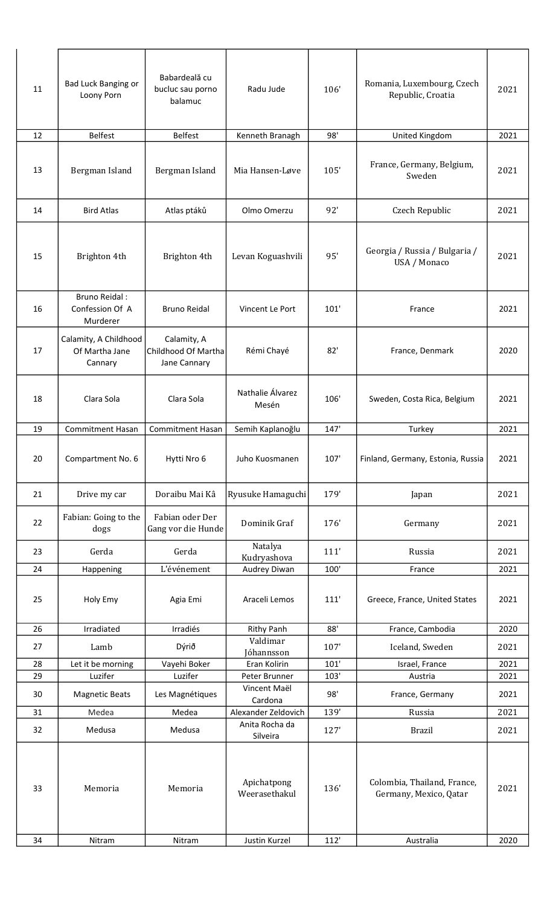| 11 | Bad Luck Banging or<br>Loony Porn                   | Babardeală cu<br>bucluc sau porno<br>balamuc       | Radu Jude                    | 106'   | Romania, Luxembourg, Czech<br>Republic, Croatia       | 2021 |
|----|-----------------------------------------------------|----------------------------------------------------|------------------------------|--------|-------------------------------------------------------|------|
| 12 | <b>Belfest</b>                                      | <b>Belfest</b>                                     | Kenneth Branagh              | 98'    | United Kingdom                                        | 2021 |
| 13 | Bergman Island                                      | Bergman Island                                     | Mia Hansen-Løve              | 105'   | France, Germany, Belgium,<br>Sweden                   | 2021 |
| 14 | <b>Bird Atlas</b>                                   | Atlas ptáků                                        | Olmo Omerzu                  | 92'    | Czech Republic                                        | 2021 |
| 15 | Brighton 4th                                        | Brighton 4th                                       | Levan Koguashvili            | 95'    | Georgia / Russia / Bulgaria /<br>USA / Monaco         | 2021 |
| 16 | <b>Bruno Reidal:</b><br>Confession Of A<br>Murderer | <b>Bruno Reidal</b>                                | Vincent Le Port              | 101'   | France                                                | 2021 |
| 17 | Calamity, A Childhood<br>Of Martha Jane<br>Cannary  | Calamity, A<br>Childhood Of Martha<br>Jane Cannary | Rémi Chayé                   | 82'    | France, Denmark                                       | 2020 |
| 18 | Clara Sola                                          | Clara Sola                                         | Nathalie Álvarez<br>Mesén    | 106'   | Sweden, Costa Rica, Belgium                           | 2021 |
| 19 | <b>Commitment Hasan</b>                             | <b>Commitment Hasan</b>                            | Semih Kaplanoğlu             | 147'   | Turkey                                                | 2021 |
| 20 | Compartment No. 6                                   | Hytti Nro 6                                        | Juho Kuosmanen               | 107'   | Finland, Germany, Estonia, Russia                     | 2021 |
| 21 | Drive my car                                        | Doraibu Mai Kâ                                     | Ryusuke Hamaguchi            | 179'   | Japan                                                 | 2021 |
| 22 | Fabian: Going to the<br>dogs                        | Fabian oder Der<br>Gang vor die Hunde              | Dominik Graf                 | 176'   | Germany                                               | 2021 |
| 23 | Gerda                                               | Gerda                                              | Natalya<br>Kudryashova       | 111'   | Russia                                                | 2021 |
| 24 | Happening                                           | L'événement                                        | Audrey Diwan                 | 100'   | France                                                | 2021 |
| 25 | Holy Emy                                            | Agia Emi                                           | Araceli Lemos                | 111'   | Greece, France, United States                         | 2021 |
| 26 | Irradiated                                          | Irradiés                                           | <b>Rithy Panh</b>            | 88'    | France, Cambodia                                      | 2020 |
| 27 | Lamb                                                | Dýrið                                              | Valdimar<br>Jóhannsson       | 107'   | Iceland, Sweden                                       | 2021 |
| 28 | Let it be morning                                   | Vayehi Boker                                       | Eran Kolirin                 | 101'   | Israel, France                                        | 2021 |
| 29 | Luzifer                                             | Luzifer                                            | Peter Brunner                | 103'   | Austria                                               | 2021 |
| 30 | <b>Magnetic Beats</b>                               | Les Magnétiques                                    | Vincent Maël<br>Cardona      | 98'    | France, Germany                                       | 2021 |
| 31 | Medea                                               | Medea                                              | Alexander Zeldovich          | 139'   | Russia                                                | 2021 |
| 32 | Medusa                                              | Medusa                                             | Anita Rocha da<br>Silveira   | 127'   | <b>Brazil</b>                                         | 2021 |
| 33 | Memoria                                             | Memoria                                            | Apichatpong<br>Weerasethakul | 136'   | Colombia, Thailand, France,<br>Germany, Mexico, Qatar | 2021 |
| 34 | Nitram                                              | Nitram                                             | Justin Kurzel                | $112'$ | Australia                                             | 2020 |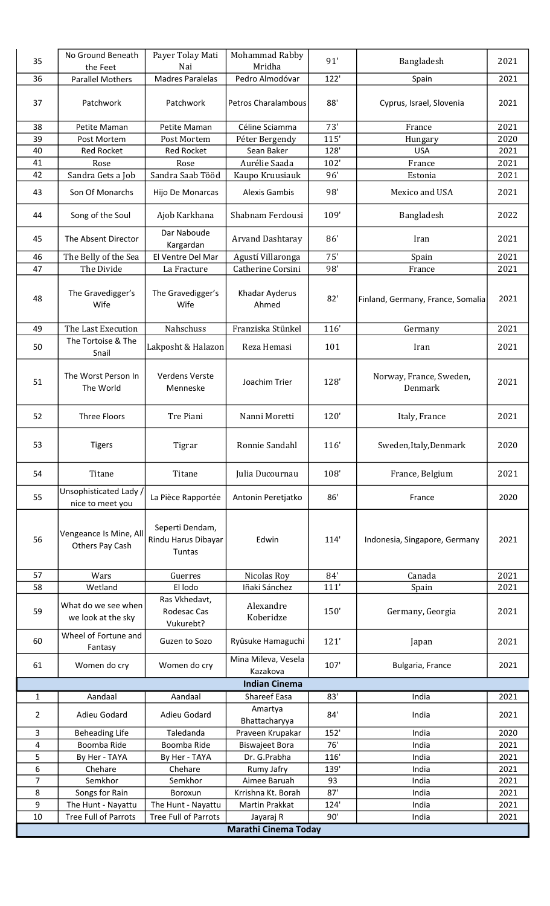| 35             | No Ground Beneath                          | Payer Tolay Mati                                 | Mohammad Rabby                  | 91'  | Bangladesh                         | 2021 |
|----------------|--------------------------------------------|--------------------------------------------------|---------------------------------|------|------------------------------------|------|
| 36             | the Feet<br><b>Parallel Mothers</b>        | Nai<br><b>Madres Paralelas</b>                   | Mridha<br>Pedro Almodóvar       | 122' | Spain                              | 2021 |
|                |                                            |                                                  |                                 |      |                                    |      |
| 37             | Patchwork                                  | Patchwork                                        | Petros Charalambous             | 88'  | Cyprus, Israel, Slovenia           | 2021 |
| 38             | Petite Maman                               | Petite Maman                                     | Céline Sciamma                  | 73'  | France                             | 2021 |
| 39             | Post Mortem                                | Post Mortem                                      | Péter Bergendy                  | 115' | Hungary                            | 2020 |
| 40             | <b>Red Rocket</b>                          | <b>Red Rocket</b>                                | Sean Baker                      | 128' | <b>USA</b>                         | 2021 |
| 41             | Rose                                       | Rose                                             | Aurélie Saada                   | 102' | France                             | 2021 |
| 42             | Sandra Gets a Job                          | Sandra Saab Tööd                                 | Kaupo Kruusiauk                 | 96'  | Estonia                            | 2021 |
| 43             | Son Of Monarchs                            | Hijo De Monarcas                                 | <b>Alexis Gambis</b>            | 98'  | Mexico and USA                     | 2021 |
| 44             | Song of the Soul                           | Ajob Karkhana                                    | Shabnam Ferdousi                | 109' | Bangladesh                         | 2022 |
| 45             | The Absent Director                        | Dar Naboude<br>Kargardan                         | <b>Arvand Dashtaray</b>         | 86'  | Iran                               | 2021 |
| 46             | The Belly of the Sea                       | El Ventre Del Mar                                | Agustí Villaronga               | 75'  | Spain                              | 2021 |
| 47             | The Divide                                 | La Fracture                                      | Catherine Corsini               | 98'  | France                             | 2021 |
| 48             | The Gravedigger's<br>Wife                  | The Gravedigger's<br>Wife                        | Khadar Ayderus<br>Ahmed         | 82'  | Finland, Germany, France, Somalia  | 2021 |
| 49             | The Last Execution                         | Nahschuss                                        | Franziska Stünkel               | 116' | Germany                            | 2021 |
| 50             | The Tortoise & The                         | Lakposht & Halazon                               | Reza Hemasi                     | 101  | Iran                               | 2021 |
|                | Snail                                      |                                                  |                                 |      |                                    |      |
| 51             | The Worst Person In<br>The World           | <b>Verdens Verste</b><br>Menneske                | Joachim Trier                   | 128' | Norway, France, Sweden,<br>Denmark | 2021 |
| 52             | Three Floors                               | Tre Piani                                        | Nanni Moretti                   | 120' | Italy, France                      | 2021 |
| 53             | <b>Tigers</b>                              | Tigrar                                           | Ronnie Sandahl                  | 116' | Sweden, Italy, Denmark             | 2020 |
| 54             | Titane                                     | Titane                                           | Julia Ducournau                 | 108' | France, Belgium                    | 2021 |
| 55             | Unsophisticated Lady /<br>nice to meet you | La Pièce Rapportée                               | Antonin Peretjatko              | 86'  | France                             | 2020 |
| 56             | Vengeance Is Mine, All<br>Others Pay Cash  | Seperti Dendam,<br>Rindu Harus Dibayar<br>Tuntas | Edwin                           | 114' | Indonesia, Singapore, Germany      | 2021 |
| 57             | Wars                                       | Guerres                                          | Nicolas Roy                     | 84'  | Canada                             | 2021 |
| 58             | Wetland                                    | El lodo                                          | Iñaki Sánchez                   | 111' | Spain                              | 2021 |
| 59             | What do we see when<br>we look at the sky  | Ras Vkhedavt,<br>Rodesac Cas<br>Vukurebt?        | Alexandre<br>Koberidze          | 150' | Germany, Georgia                   | 2021 |
| 60             | Wheel of Fortune and<br>Fantasy            | Guzen to Sozo                                    | Ryûsuke Hamaguchi               | 121' | Japan                              | 2021 |
| 61             | Women do cry                               | Women do cry                                     | Mina Mileva, Vesela<br>Kazakova | 107' | Bulgaria, France                   | 2021 |
|                |                                            |                                                  | <b>Indian Cinema</b>            |      |                                    |      |
| $\mathbf{1}$   | Aandaal                                    | Aandaal                                          | Shareef Easa                    | 83'  | India                              | 2021 |
| $\overline{2}$ | Adieu Godard                               | Adieu Godard                                     | Amartya<br>Bhattacharyya        | 84'  | India                              | 2021 |
| 3              | <b>Beheading Life</b>                      | Taledanda                                        | Praveen Krupakar                | 152' | India                              | 2020 |
| 4              | Boomba Ride                                | Boomba Ride                                      | <b>Biswajeet Bora</b>           | 76'  | India                              | 2021 |
| 5              | By Her - TAYA                              | By Her - TAYA                                    | Dr. G.Prabha                    | 116' | India                              | 2021 |
| 6              | Chehare                                    | Chehare                                          | Rumy Jafry                      | 139' | India                              | 2021 |
| $\overline{7}$ | Semkhor                                    | Semkhor                                          | Aimee Baruah                    | 93   | India                              | 2021 |
| 8              | Songs for Rain                             | Boroxun                                          | Krrishna Kt. Borah              | 87'  | India                              | 2021 |
| 9              | The Hunt - Nayattu                         | The Hunt - Nayattu                               | <b>Martin Prakkat</b>           | 124' | India                              | 2021 |
| 10             | <b>Tree Full of Parrots</b>                | <b>Tree Full of Parrots</b>                      | Jayaraj R                       | 90'  | India                              | 2021 |
|                |                                            |                                                  | <b>Marathi Cinema Today</b>     |      |                                    |      |